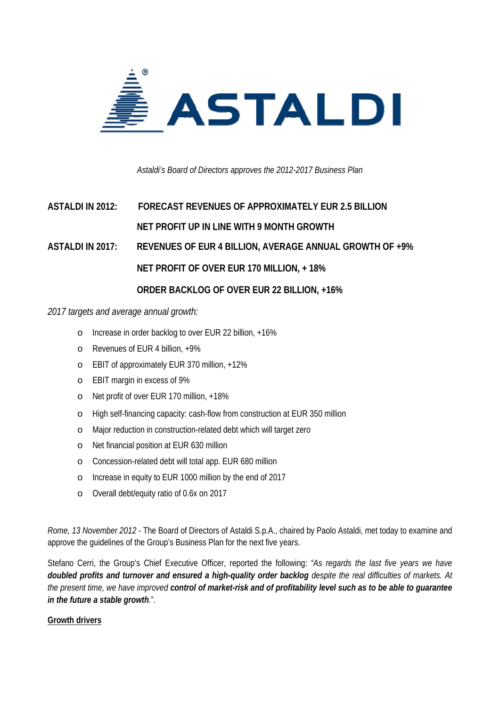

*Astaldi's Board of Directors approves the 2012-2017 Business Plan* 

# **ASTALDI IN 2012: FORECAST REVENUES OF APPROXIMATELY EUR 2.5 BILLION NET PROFIT UP IN LINE WITH 9 MONTH GROWTH ASTALDI IN 2017: REVENUES OF EUR 4 BILLION, AVERAGE ANNUAL GROWTH OF +9% NET PROFIT OF OVER EUR 170 MILLION, + 18% ORDER BACKLOG OF OVER EUR 22 BILLION, +16%**

*2017 targets and average annual growth:*

- o Increase in order backlog to over EUR 22 billion, +16%
- o Revenues of EUR 4 billion, +9%
- o EBIT of approximately EUR 370 million, +12%
- o EBIT margin in excess of 9%
- o Net profit of over EUR 170 million, +18%
- o High self-financing capacity: cash-flow from construction at EUR 350 million
- o Major reduction in construction-related debt which will target zero
- o Net financial position at EUR 630 million
- o Concession-related debt will total app. EUR 680 million
- o Increase in equity to EUR 1000 million by the end of 2017
- o Overall debt/equity ratio of 0.6x on 2017

*Rome, 13 November 2012* - The Board of Directors of Astaldi S.p.A., chaired by Paolo Astaldi, met today to examine and approve the guidelines of the Group's Business Plan for the next five years.

Stefano Cerri, the Group's Chief Executive Officer, reported the following: *"As regards the last five years we have doubled profits and turnover and ensured a high-quality order backlog despite the real difficulties of markets. At the present time, we have improved control of market-risk and of profitability level such as to be able to guarantee in the future a stable growth.*".

## **Growth drivers**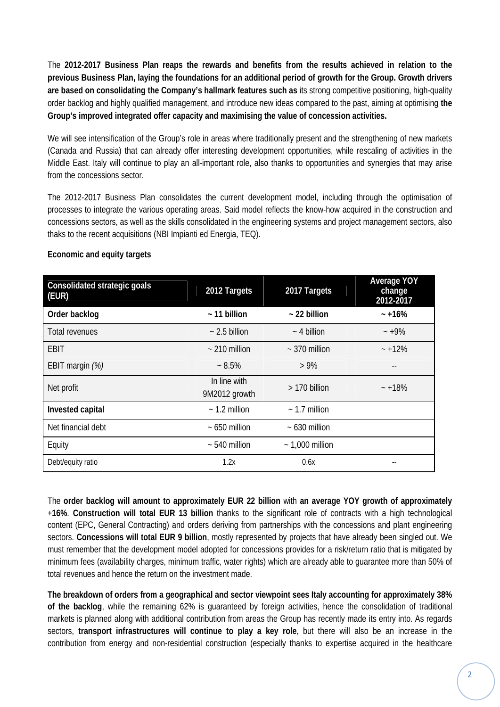The **2012-2017 Business Plan reaps the rewards and benefits from the results achieved in relation to the previous Business Plan, laying the foundations for an additional period of growth for the Group. Growth drivers are based on consolidating the Company's hallmark features such as** its strong competitive positioning, high-quality order backlog and highly qualified management, and introduce new ideas compared to the past, aiming at optimising **the Group's improved integrated offer capacity and maximising the value of concession activities.**

We will see intensification of the Group's role in areas where traditionally present and the strengthening of new markets (Canada and Russia) that can already offer interesting development opportunities, while rescaling of activities in the Middle East. Italy will continue to play an all-important role, also thanks to opportunities and synergies that may arise from the concessions sector.

The 2012-2017 Business Plan consolidates the current development model, including through the optimisation of processes to integrate the various operating areas. Said model reflects the know-how acquired in the construction and concessions sectors, as well as the skills consolidated in the engineering systems and project management sectors, also thaks to the recent acquisitions (NBI Impianti ed Energia, TEQ).

| <b>Consolidated strategic goals</b><br>(EUR) | 2012 Targets                  | 2017 Targets         | <b>Average YOY</b><br>change<br>2012-2017 |
|----------------------------------------------|-------------------------------|----------------------|-------------------------------------------|
| Order backlog                                | $~11$ billion                 | $~22$ billion        | $-16%$                                    |
| Total revenues                               | $\sim$ 2.5 billion            | $\sim$ 4 billion     | $- +9\%$                                  |
| <b>EBIT</b>                                  | $\sim$ 210 million            | $\sim$ 370 million   | $-12\%$                                   |
| EBIT margin (%)                              | $~8.5\%$                      | $>9\%$               | $\overline{\phantom{m}}$                  |
| Net profit                                   | In line with<br>9M2012 growth | $>170$ billion       | $-+18%$                                   |
| Invested capital                             | $\sim$ 1.2 million            | $\sim$ 1.7 million   |                                           |
| Net financial debt                           | $~50$ million                 | $~5$ 630 million     |                                           |
| Equity                                       | $~540$ million                | $\sim$ 1,000 million |                                           |
| Debt/equity ratio                            | 1.2x                          | 0.6x                 |                                           |

# **Economic and equity targets**

The **order backlog will amount to approximately EUR 22 billion** with **an average YOY growth of approximately** +**16%**. **Construction will total EUR 13 billion** thanks to the significant role of contracts with a high technological content (EPC, General Contracting) and orders deriving from partnerships with the concessions and plant engineering sectors. **Concessions will total EUR 9 billion**, mostly represented by projects that have already been singled out. We must remember that the development model adopted for concessions provides for a risk/return ratio that is mitigated by minimum fees (availability charges, minimum traffic, water rights) which are already able to guarantee more than 50% of total revenues and hence the return on the investment made.

**The breakdown of orders from a geographical and sector viewpoint sees Italy accounting for approximately 38% of the backlog**, while the remaining 62% is guaranteed by foreign activities, hence the consolidation of traditional markets is planned along with additional contribution from areas the Group has recently made its entry into. As regards sectors, **transport infrastructures will continue to play a key role**, but there will also be an increase in the contribution from energy and non-residential construction (especially thanks to expertise acquired in the healthcare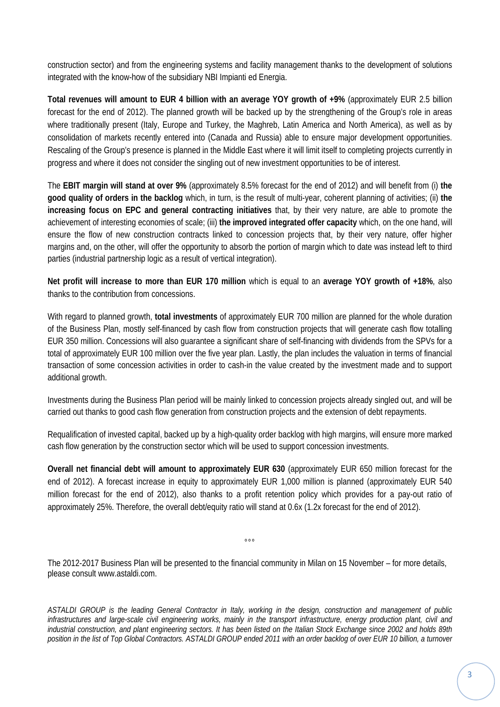construction sector) and from the engineering systems and facility management thanks to the development of solutions integrated with the know-how of the subsidiary NBI Impianti ed Energia.

**Total revenues will amount to EUR 4 billion with an average YOY growth of +9%** (approximately EUR 2.5 billion forecast for the end of 2012). The planned growth will be backed up by the strengthening of the Group's role in areas where traditionally present (Italy, Europe and Turkey, the Maghreb, Latin America and North America), as well as by consolidation of markets recently entered into (Canada and Russia) able to ensure major development opportunities. Rescaling of the Group's presence is planned in the Middle East where it will limit itself to completing projects currently in progress and where it does not consider the singling out of new investment opportunities to be of interest.

The **EBIT margin will stand at over 9%** (approximately 8.5% forecast for the end of 2012) and will benefit from (i) **the good quality of orders in the backlog** which, in turn, is the result of multi-year, coherent planning of activities; (ii) **the increasing focus on EPC and general contracting initiatives** that, by their very nature, are able to promote the achievement of interesting economies of scale; (iii) **the improved integrated offer capacity** which, on the one hand, will ensure the flow of new construction contracts linked to concession projects that, by their very nature, offer higher margins and, on the other, will offer the opportunity to absorb the portion of margin which to date was instead left to third parties (industrial partnership logic as a result of vertical integration).

**Net profit will increase to more than EUR 170 million** which is equal to an **average YOY growth of +18%**, also thanks to the contribution from concessions.

With regard to planned growth, **total investments** of approximately EUR 700 million are planned for the whole duration of the Business Plan, mostly self-financed by cash flow from construction projects that will generate cash flow totalling EUR 350 million. Concessions will also guarantee a significant share of self-financing with dividends from the SPVs for a total of approximately EUR 100 million over the five year plan. Lastly, the plan includes the valuation in terms of financial transaction of some concession activities in order to cash-in the value created by the investment made and to support additional growth.

Investments during the Business Plan period will be mainly linked to concession projects already singled out, and will be carried out thanks to good cash flow generation from construction projects and the extension of debt repayments.

Requalification of invested capital, backed up by a high-quality order backlog with high margins, will ensure more marked cash flow generation by the construction sector which will be used to support concession investments.

**Overall net financial debt will amount to approximately EUR 630** (approximately EUR 650 million forecast for the end of 2012). A forecast increase in equity to approximately EUR 1,000 million is planned (approximately EUR 540 million forecast for the end of 2012), also thanks to a profit retention policy which provides for a pay-out ratio of approximately 25%. Therefore, the overall debt/equity ratio will stand at 0.6x (1.2x forecast for the end of 2012).

The 2012-2017 Business Plan will be presented to the financial community in Milan on 15 November – for more details, please consult www.astaldi.com.

°°°

*ASTALDI GROUP is the leading General Contractor in Italy, working in the design, construction and management of public infrastructures and large-scale civil engineering works, mainly in the transport infrastructure, energy production plant, civil and industrial construction, and plant engineering sectors. It has been listed on the Italian Stock Exchange since 2002 and holds 89th position in the list of Top Global Contractors. ASTALDI GROUP ended 2011 with an order backlog of over EUR 10 billion, a turnover*